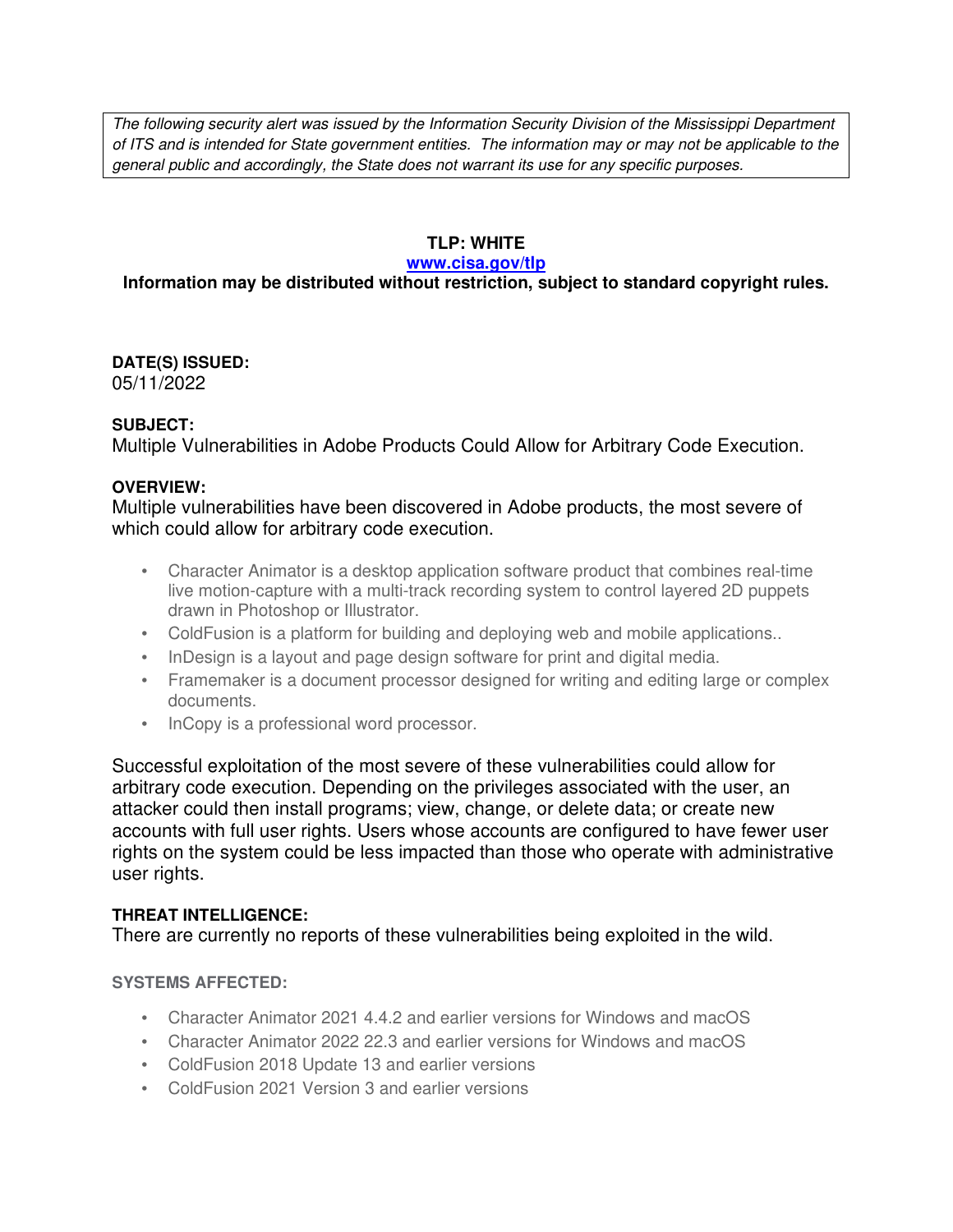The following security alert was issued by the Information Security Division of the Mississippi Department of ITS and is intended for State government entities. The information may or may not be applicable to the general public and accordingly, the State does not warrant its use for any specific purposes.

#### **TLP: WHITE**

#### **www.cisa.gov/tlp**

## **Information may be distributed without restriction, subject to standard copyright rules.**

**DATE(S) ISSUED:** 05/11/2022

#### **SUBJECT:**

Multiple Vulnerabilities in Adobe Products Could Allow for Arbitrary Code Execution.

#### **OVERVIEW:**

Multiple vulnerabilities have been discovered in Adobe products, the most severe of which could allow for arbitrary code execution.

- Character Animator is a desktop application software product that combines real-time live motion-capture with a multi-track recording system to control layered 2D puppets drawn in Photoshop or Illustrator.
- ColdFusion is a platform for building and deploying web and mobile applications..
- InDesign is a layout and page design software for print and digital media.
- Framemaker is a document processor designed for writing and editing large or complex documents.
- InCopy is a professional word processor.

Successful exploitation of the most severe of these vulnerabilities could allow for arbitrary code execution. Depending on the privileges associated with the user, an attacker could then install programs; view, change, or delete data; or create new accounts with full user rights. Users whose accounts are configured to have fewer user rights on the system could be less impacted than those who operate with administrative user rights.

#### **THREAT INTELLIGENCE:**

There are currently no reports of these vulnerabilities being exploited in the wild.

#### **SYSTEMS AFFECTED:**

- Character Animator 2021 4.4.2 and earlier versions for Windows and macOS
- Character Animator 2022 22.3 and earlier versions for Windows and macOS
- ColdFusion 2018 Update 13 and earlier versions
- ColdFusion 2021 Version 3 and earlier versions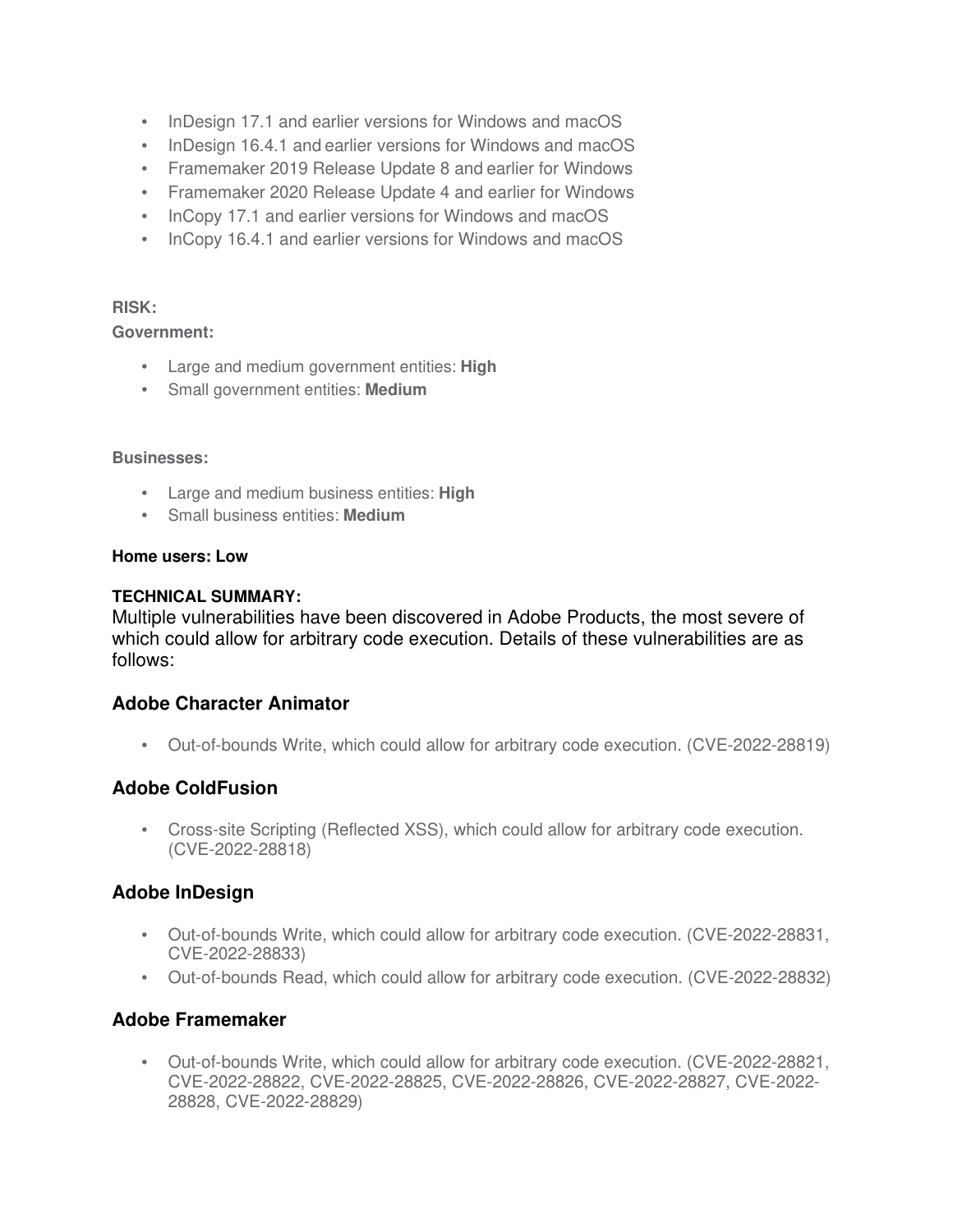- InDesign 17.1 and earlier versions for Windows and macOS
- InDesign 16.4.1 and earlier versions for Windows and macOS
- Framemaker 2019 Release Update 8 and earlier for Windows
- Framemaker 2020 Release Update 4 and earlier for Windows
- InCopy 17.1 and earlier versions for Windows and macOS
- InCopy 16.4.1 and earlier versions for Windows and macOS

#### **RISK:**

#### **Government:**

- Large and medium government entities: **High**
- Small government entities: **Medium**

#### **Businesses:**

- Large and medium business entities: **High**
- Small business entities: **Medium**

#### **Home users: Low**

#### **TECHNICAL SUMMARY:**

Multiple vulnerabilities have been discovered in Adobe Products, the most severe of which could allow for arbitrary code execution. Details of these vulnerabilities are as follows:

### **Adobe Character Animator**

• Out-of-bounds Write, which could allow for arbitrary code execution. (CVE-2022-28819)

## **Adobe ColdFusion**

• Cross-site Scripting (Reflected XSS), which could allow for arbitrary code execution. (CVE-2022-28818)

## **Adobe InDesign**

- Out-of-bounds Write, which could allow for arbitrary code execution. (CVE-2022-28831, CVE-2022-28833)
- Out-of-bounds Read, which could allow for arbitrary code execution. (CVE-2022-28832)

## **Adobe Framemaker**

• Out-of-bounds Write, which could allow for arbitrary code execution. (CVE-2022-28821, CVE-2022-28822, CVE-2022-28825, CVE-2022-28826, CVE-2022-28827, CVE-2022- 28828, CVE-2022-28829)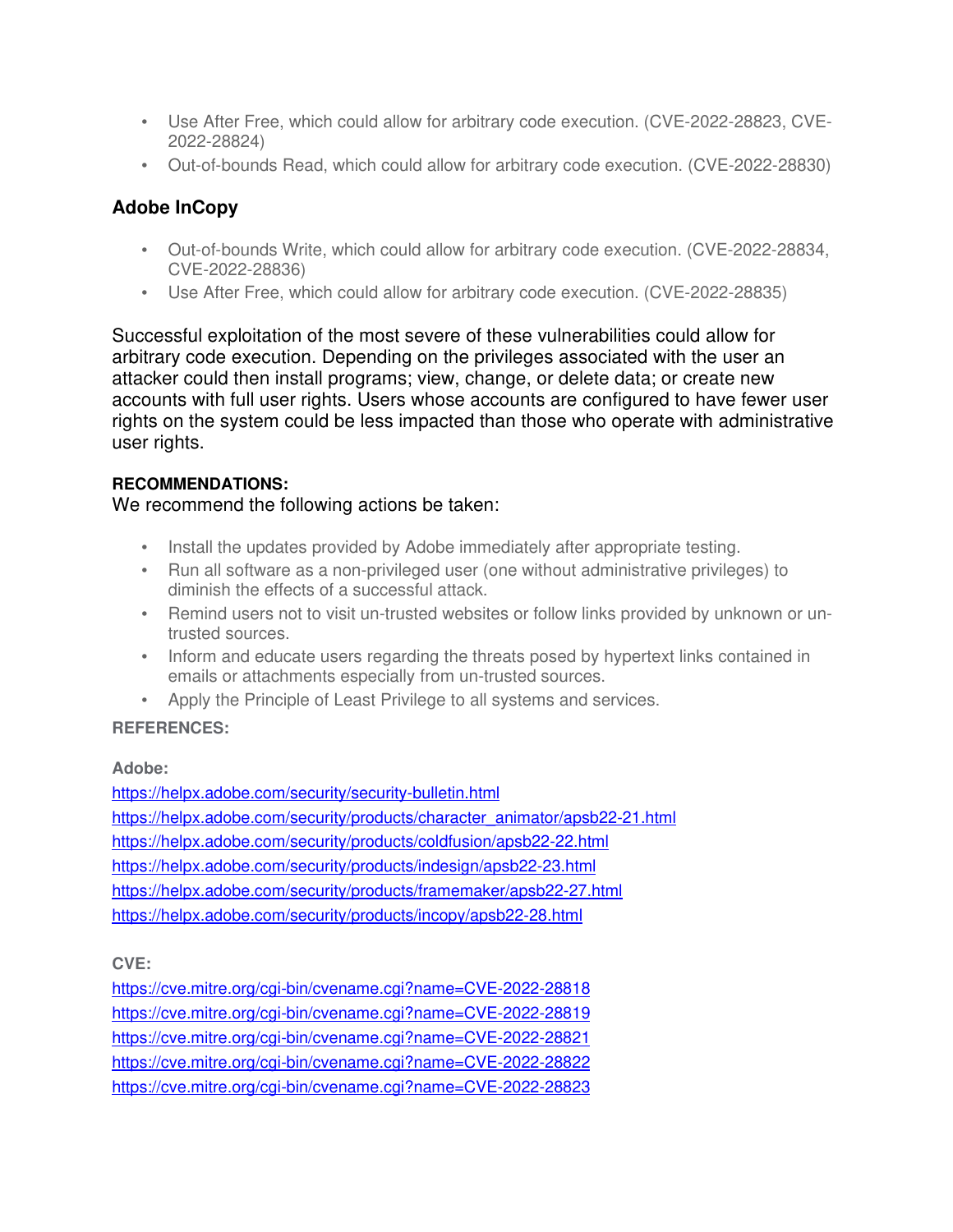- Use After Free, which could allow for arbitrary code execution. (CVE-2022-28823, CVE-2022-28824)
- Out-of-bounds Read, which could allow for arbitrary code execution. (CVE-2022-28830)

# **Adobe InCopy**

- Out-of-bounds Write, which could allow for arbitrary code execution. (CVE-2022-28834, CVE-2022-28836)
- Use After Free, which could allow for arbitrary code execution. (CVE-2022-28835)

Successful exploitation of the most severe of these vulnerabilities could allow for arbitrary code execution. Depending on the privileges associated with the user an attacker could then install programs; view, change, or delete data; or create new accounts with full user rights. Users whose accounts are configured to have fewer user rights on the system could be less impacted than those who operate with administrative user rights.

## **RECOMMENDATIONS:**

## We recommend the following actions be taken:

- Install the updates provided by Adobe immediately after appropriate testing.
- Run all software as a non-privileged user (one without administrative privileges) to diminish the effects of a successful attack.
- Remind users not to visit un-trusted websites or follow links provided by unknown or untrusted sources.
- Inform and educate users regarding the threats posed by hypertext links contained in emails or attachments especially from un-trusted sources.
- Apply the Principle of Least Privilege to all systems and services.

## **REFERENCES:**

### **Adobe:**

https://helpx.adobe.com/security/security-bulletin.html https://helpx.adobe.com/security/products/character\_animator/apsb22-21.html https://helpx.adobe.com/security/products/coldfusion/apsb22-22.html https://helpx.adobe.com/security/products/indesign/apsb22-23.html https://helpx.adobe.com/security/products/framemaker/apsb22-27.html https://helpx.adobe.com/security/products/incopy/apsb22-28.html

**CVE:**

https://cve.mitre.org/cgi-bin/cvename.cgi?name=CVE-2022-28818 https://cve.mitre.org/cgi-bin/cvename.cgi?name=CVE-2022-28819 https://cve.mitre.org/cgi-bin/cvename.cgi?name=CVE-2022-28821 https://cve.mitre.org/cgi-bin/cvename.cgi?name=CVE-2022-28822 https://cve.mitre.org/cgi-bin/cvename.cgi?name=CVE-2022-28823